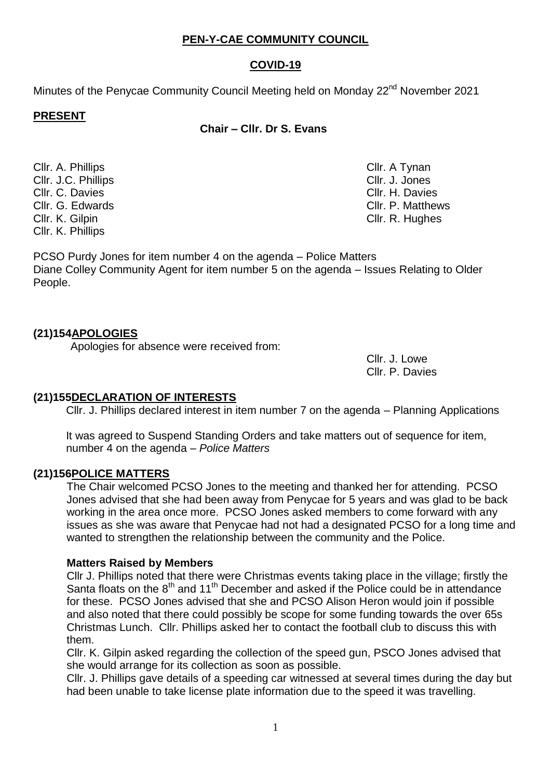1

# **PEN-Y-CAE COMMUNITY COUNCIL**

# **COVID-19**

Minutes of the Penycae Community Council Meeting held on Monday 22<sup>nd</sup> November 2021

### **PRESENT**

**Chair – Cllr. Dr S. Evans**

Cllr. A. Phillips Cllr. A Tynan Cllr. J.C. Phillips Cllr. J. Jones Cllr. C. Davies Clearence Clearence Clearence Clearence Clearence Clearence Clearence Clearence Clearence Clearence Cllr. G. Edwards Cllr. P. Matthews Cllr. K. Gilpin Cllr. R. Hughes Cllr. K. Phillips

PCSO Purdy Jones for item number 4 on the agenda – Police Matters Diane Colley Community Agent for item number 5 on the agenda – Issues Relating to Older People.

## **(21)154APOLOGIES**

Apologies for absence were received from:

Cllr. J. Lowe Cllr. P. Davies

## **(21)155DECLARATION OF INTERESTS**

Cllr. J. Phillips declared interest in item number 7 on the agenda – Planning Applications

It was agreed to Suspend Standing Orders and take matters out of sequence for item, number 4 on the agenda – *Police Matters*

## **(21)156POLICE MATTERS**

The Chair welcomed PCSO Jones to the meeting and thanked her for attending. PCSO Jones advised that she had been away from Penycae for 5 years and was glad to be back working in the area once more. PCSO Jones asked members to come forward with any issues as she was aware that Penycae had not had a designated PCSO for a long time and wanted to strengthen the relationship between the community and the Police.

## **Matters Raised by Members**

Cllr J. Phillips noted that there were Christmas events taking place in the village; firstly the Santa floats on the 8<sup>th</sup> and 11<sup>th</sup> December and asked if the Police could be in attendance for these. PCSO Jones advised that she and PCSO Alison Heron would join if possible and also noted that there could possibly be scope for some funding towards the over 65s Christmas Lunch. Cllr. Phillips asked her to contact the football club to discuss this with them.

Cllr. K. Gilpin asked regarding the collection of the speed gun, PSCO Jones advised that she would arrange for its collection as soon as possible.

Cllr. J. Phillips gave details of a speeding car witnessed at several times during the day but had been unable to take license plate information due to the speed it was travelling.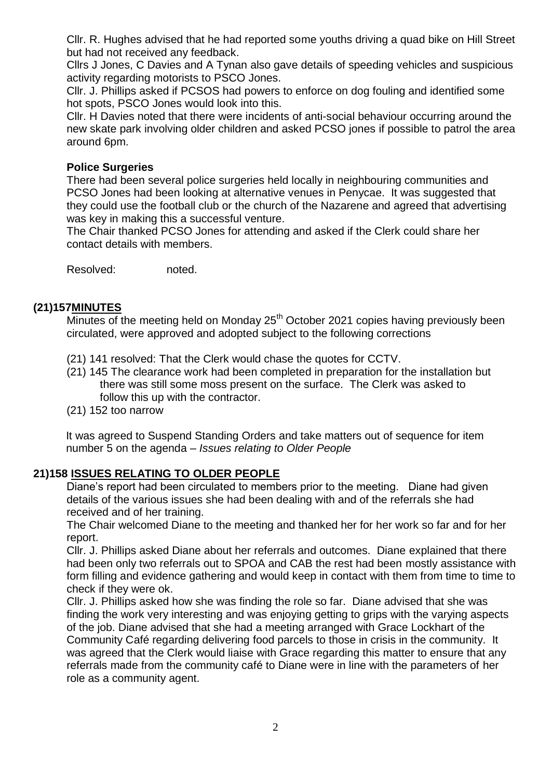Cllr. R. Hughes advised that he had reported some youths driving a quad bike on Hill Street but had not received any feedback.

Cllrs J Jones, C Davies and A Tynan also gave details of speeding vehicles and suspicious activity regarding motorists to PSCO Jones.

Cllr. J. Phillips asked if PCSOS had powers to enforce on dog fouling and identified some hot spots, PSCO Jones would look into this.

Cllr. H Davies noted that there were incidents of anti-social behaviour occurring around the new skate park involving older children and asked PCSO jones if possible to patrol the area around 6pm.

#### **Police Surgeries**

There had been several police surgeries held locally in neighbouring communities and PCSO Jones had been looking at alternative venues in Penycae. It was suggested that they could use the football club or the church of the Nazarene and agreed that advertising was key in making this a successful venture.

The Chair thanked PCSO Jones for attending and asked if the Clerk could share her contact details with members.

Resolved: noted.

#### **(21)157MINUTES**

Minutes of the meeting held on Monday 25<sup>th</sup> October 2021 copies having previously been circulated, were approved and adopted subject to the following corrections

- (21) 141 resolved: That the Clerk would chase the quotes for CCTV.
- (21) 145 The clearance work had been completed in preparation for the installation but there was still some moss present on the surface. The Clerk was asked to follow this up with the contractor.
- (21) 152 too narrow

It was agreed to Suspend Standing Orders and take matters out of sequence for item number 5 on the agenda – *Issues relating to Older People*

#### **21)158 ISSUES RELATING TO OLDER PEOPLE**

Diane's report had been circulated to members prior to the meeting. Diane had given details of the various issues she had been dealing with and of the referrals she had received and of her training.

The Chair welcomed Diane to the meeting and thanked her for her work so far and for her report.

Cllr. J. Phillips asked Diane about her referrals and outcomes. Diane explained that there had been only two referrals out to SPOA and CAB the rest had been mostly assistance with form filling and evidence gathering and would keep in contact with them from time to time to check if they were ok.

Cllr. J. Phillips asked how she was finding the role so far. Diane advised that she was finding the work very interesting and was enjoying getting to grips with the varying aspects of the job. Diane advised that she had a meeting arranged with Grace Lockhart of the Community Café regarding delivering food parcels to those in crisis in the community. It was agreed that the Clerk would liaise with Grace regarding this matter to ensure that any referrals made from the community café to Diane were in line with the parameters of her role as a community agent.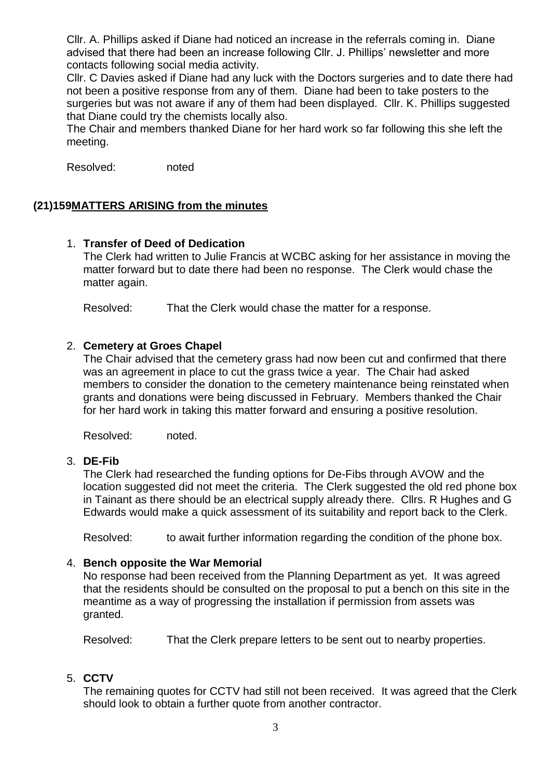Cllr. A. Phillips asked if Diane had noticed an increase in the referrals coming in. Diane advised that there had been an increase following Cllr. J. Phillips' newsletter and more contacts following social media activity.

Cllr. C Davies asked if Diane had any luck with the Doctors surgeries and to date there had not been a positive response from any of them. Diane had been to take posters to the surgeries but was not aware if any of them had been displayed. Cllr. K. Phillips suggested that Diane could try the chemists locally also.

The Chair and members thanked Diane for her hard work so far following this she left the meeting.

Resolved: noted

## **(21)159MATTERS ARISING from the minutes**

#### 1. **Transfer of Deed of Dedication**

The Clerk had written to Julie Francis at WCBC asking for her assistance in moving the matter forward but to date there had been no response. The Clerk would chase the matter again.

Resolved: That the Clerk would chase the matter for a response.

### 2. **Cemetery at Groes Chapel**

The Chair advised that the cemetery grass had now been cut and confirmed that there was an agreement in place to cut the grass twice a year. The Chair had asked members to consider the donation to the cemetery maintenance being reinstated when grants and donations were being discussed in February. Members thanked the Chair for her hard work in taking this matter forward and ensuring a positive resolution.

Resolved: noted.

#### 3. **DE-Fib**

The Clerk had researched the funding options for De-Fibs through AVOW and the location suggested did not meet the criteria. The Clerk suggested the old red phone box in Tainant as there should be an electrical supply already there. Cllrs. R Hughes and G Edwards would make a quick assessment of its suitability and report back to the Clerk.

Resolved: to await further information regarding the condition of the phone box.

#### 4. **Bench opposite the War Memorial**

No response had been received from the Planning Department as yet. It was agreed that the residents should be consulted on the proposal to put a bench on this site in the meantime as a way of progressing the installation if permission from assets was granted.

Resolved: That the Clerk prepare letters to be sent out to nearby properties.

#### 5. **CCTV**

The remaining quotes for CCTV had still not been received. It was agreed that the Clerk should look to obtain a further quote from another contractor.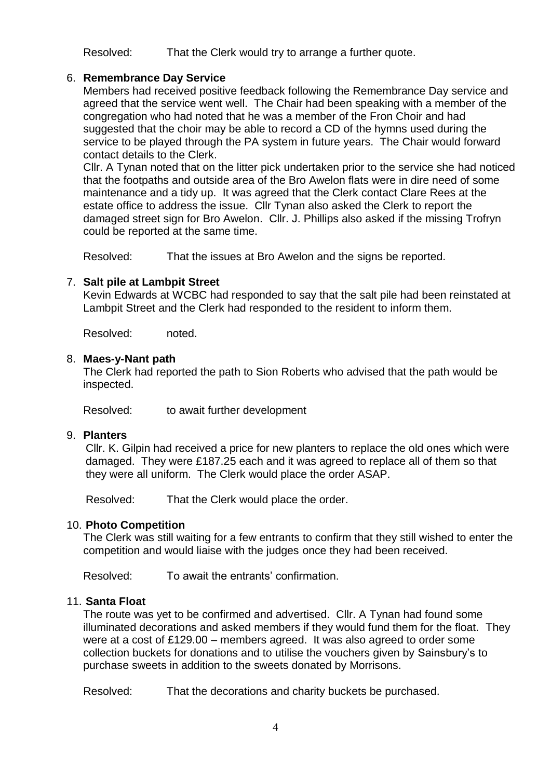Resolved: That the Clerk would try to arrange a further quote.

## 6. **Remembrance Day Service**

Members had received positive feedback following the Remembrance Day service and agreed that the service went well. The Chair had been speaking with a member of the congregation who had noted that he was a member of the Fron Choir and had suggested that the choir may be able to record a CD of the hymns used during the service to be played through the PA system in future years. The Chair would forward contact details to the Clerk.

Cllr. A Tynan noted that on the litter pick undertaken prior to the service she had noticed that the footpaths and outside area of the Bro Awelon flats were in dire need of some maintenance and a tidy up. It was agreed that the Clerk contact Clare Rees at the estate office to address the issue. Cllr Tynan also asked the Clerk to report the damaged street sign for Bro Awelon. Cllr. J. Phillips also asked if the missing Trofryn could be reported at the same time.

Resolved: That the issues at Bro Awelon and the signs be reported.

## 7. **Salt pile at Lambpit Street**

Kevin Edwards at WCBC had responded to say that the salt pile had been reinstated at Lambpit Street and the Clerk had responded to the resident to inform them.

Resolved: noted.

#### 8. **Maes-y-Nant path**

The Clerk had reported the path to Sion Roberts who advised that the path would be inspected.

Resolved: to await further development

#### 9. **Planters**

Cllr. K. Gilpin had received a price for new planters to replace the old ones which were damaged. They were £187.25 each and it was agreed to replace all of them so that they were all uniform. The Clerk would place the order ASAP.

Resolved: That the Clerk would place the order.

#### 10. **Photo Competition**

The Clerk was still waiting for a few entrants to confirm that they still wished to enter the competition and would liaise with the judges once they had been received.

Resolved: To await the entrants' confirmation.

#### 11. **Santa Float**

The route was yet to be confirmed and advertised. Cllr. A Tynan had found some illuminated decorations and asked members if they would fund them for the float. They were at a cost of £129.00 – members agreed. It was also agreed to order some collection buckets for donations and to utilise the vouchers given by Sainsbury's to purchase sweets in addition to the sweets donated by Morrisons.

Resolved: That the decorations and charity buckets be purchased.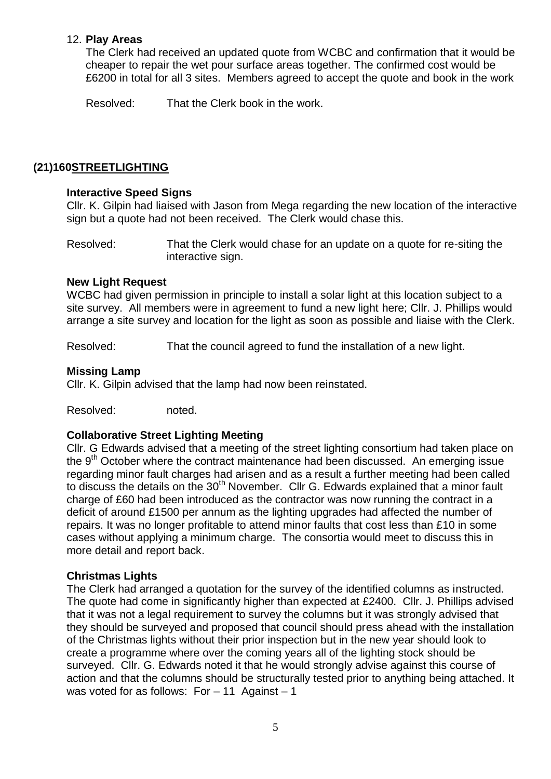### 12. **Play Areas**

The Clerk had received an updated quote from WCBC and confirmation that it would be cheaper to repair the wet pour surface areas together. The confirmed cost would be £6200 in total for all 3 sites. Members agreed to accept the quote and book in the work

Resolved: That the Clerk book in the work.

## **(21)160STREETLIGHTING**

### **Interactive Speed Signs**

Cllr. K. Gilpin had liaised with Jason from Mega regarding the new location of the interactive sign but a quote had not been received. The Clerk would chase this.

Resolved: That the Clerk would chase for an update on a quote for re-siting the interactive sign.

#### **New Light Request**

WCBC had given permission in principle to install a solar light at this location subject to a site survey. All members were in agreement to fund a new light here; Cllr. J. Phillips would arrange a site survey and location for the light as soon as possible and liaise with the Clerk.

Resolved: That the council agreed to fund the installation of a new light.

### **Missing Lamp**

Cllr. K. Gilpin advised that the lamp had now been reinstated.

Resolved: noted.

#### **Collaborative Street Lighting Meeting**

Cllr. G Edwards advised that a meeting of the street lighting consortium had taken place on the  $9<sup>th</sup>$  October where the contract maintenance had been discussed. An emerging issue regarding minor fault charges had arisen and as a result a further meeting had been called to discuss the details on the 30<sup>th</sup> November. Cllr G. Edwards explained that a minor fault charge of £60 had been introduced as the contractor was now running the contract in a deficit of around £1500 per annum as the lighting upgrades had affected the number of repairs. It was no longer profitable to attend minor faults that cost less than £10 in some cases without applying a minimum charge. The consortia would meet to discuss this in more detail and report back.

## **Christmas Lights**

The Clerk had arranged a quotation for the survey of the identified columns as instructed. The quote had come in significantly higher than expected at £2400. Cllr. J. Phillips advised that it was not a legal requirement to survey the columns but it was strongly advised that they should be surveyed and proposed that council should press ahead with the installation of the Christmas lights without their prior inspection but in the new year should look to create a programme where over the coming years all of the lighting stock should be surveyed. Cllr. G. Edwards noted it that he would strongly advise against this course of action and that the columns should be structurally tested prior to anything being attached. It was voted for as follows:  $For - 11$  Against  $-1$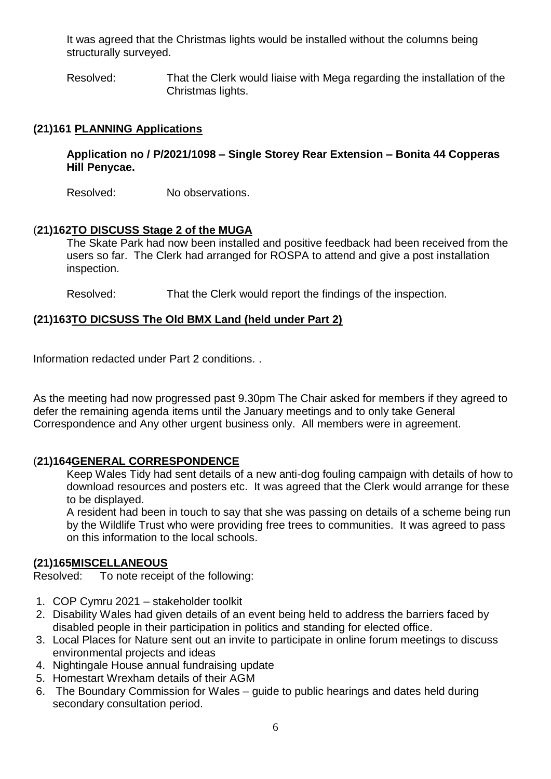It was agreed that the Christmas lights would be installed without the columns being structurally surveyed.

Resolved: That the Clerk would liaise with Mega regarding the installation of the Christmas lights.

## **(21)161 PLANNING Applications**

**Application no / P/2021/1098 – Single Storey Rear Extension – Bonita 44 Copperas Hill Penycae.**

Resolved: No observations.

## (**21)162TO DISCUSS Stage 2 of the MUGA**

The Skate Park had now been installed and positive feedback had been received from the users so far. The Clerk had arranged for ROSPA to attend and give a post installation inspection.

Resolved: That the Clerk would report the findings of the inspection.

### **(21)163TO DICSUSS The Old BMX Land (held under Part 2)**

Information redacted under Part 2 conditions. .

As the meeting had now progressed past 9.30pm The Chair asked for members if they agreed to defer the remaining agenda items until the January meetings and to only take General Correspondence and Any other urgent business only. All members were in agreement.

## (**21)164GENERAL CORRESPONDENCE**

Keep Wales Tidy had sent details of a new anti-dog fouling campaign with details of how to download resources and posters etc. It was agreed that the Clerk would arrange for these to be displayed.

A resident had been in touch to say that she was passing on details of a scheme being run by the Wildlife Trust who were providing free trees to communities. It was agreed to pass on this information to the local schools.

## **(21)165MISCELLANEOUS**

Resolved: To note receipt of the following:

- 1. COP Cymru 2021 stakeholder toolkit
- 2. Disability Wales had given details of an event being held to address the barriers faced by disabled people in their participation in politics and standing for elected office.
- 3. Local Places for Nature sent out an invite to participate in online forum meetings to discuss environmental projects and ideas
- 4. Nightingale House annual fundraising update
- 5. Homestart Wrexham details of their AGM
- 6. The Boundary Commission for Wales guide to public hearings and dates held during secondary consultation period.